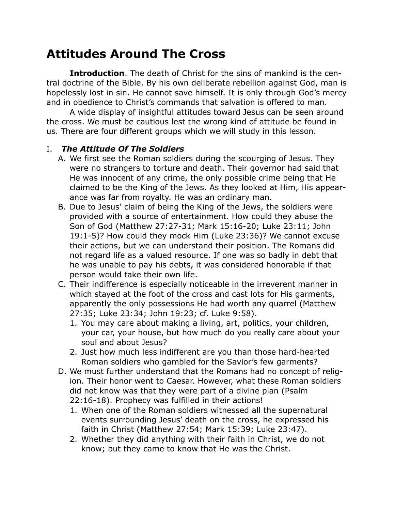# **Attitudes Around The Cross**

**Introduction**. The death of Christ for the sins of mankind is the central doctrine of the Bible. By his own deliberate rebellion against God, man is hopelessly lost in sin. He cannot save himself. It is only through God's mercy and in obedience to Christ's commands that salvation is offered to man.

A wide display of insightful attitudes toward Jesus can be seen around the cross. We must be cautious lest the wrong kind of attitude be found in us. There are four different groups which we will study in this lesson.

#### I. *The Attitude Of The Soldiers*

- A. We first see the Roman soldiers during the scourging of Jesus. They were no strangers to torture and death. Their governor had said that He was innocent of any crime, the only possible crime being that He claimed to be the King of the Jews. As they looked at Him, His appearance was far from royalty. He was an ordinary man.
- B. Due to Jesus' claim of being the King of the Jews, the soldiers were provided with a source of entertainment. How could they abuse the Son of God (Matthew 27:27-31; Mark 15:16-20; Luke 23:11; John 19:1-5)? How could they mock Him (Luke 23:36)? We cannot excuse their actions, but we can understand their position. The Romans did not regard life as a valued resource. If one was so badly in debt that he was unable to pay his debts, it was considered honorable if that person would take their own life.
- C. Their indifference is especially noticeable in the irreverent manner in which stayed at the foot of the cross and cast lots for His garments, apparently the only possessions He had worth any quarrel (Matthew 27:35; Luke 23:34; John 19:23; cf. Luke 9:58).
	- 1. You may care about making a living, art, politics, your children, your car, your house, but how much do you really care about your soul and about Jesus?
	- 2. Just how much less indifferent are you than those hard-hearted Roman soldiers who gambled for the Savior's few garments?
- D. We must further understand that the Romans had no concept of religion. Their honor went to Caesar. However, what these Roman soldiers did not know was that they were part of a divine plan (Psalm 22:16-18). Prophecy was fulfilled in their actions!
	- 1. When one of the Roman soldiers witnessed all the supernatural events surrounding Jesus' death on the cross, he expressed his faith in Christ (Matthew 27:54; Mark 15:39; Luke 23:47).
	- 2. Whether they did anything with their faith in Christ, we do not know; but they came to know that He was the Christ.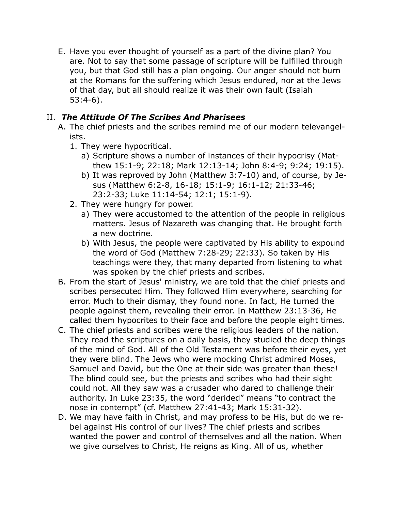E. Have you ever thought of yourself as a part of the divine plan? You are. Not to say that some passage of scripture will be fulfilled through you, but that God still has a plan ongoing. Our anger should not burn at the Romans for the suffering which Jesus endured, nor at the Jews of that day, but all should realize it was their own fault (Isaiah 53:4-6).

## II. *The Attitude Of The Scribes And Pharisees*

- A. The chief priests and the scribes remind me of our modern televangelists.
	- 1. They were hypocritical.
		- a) Scripture shows a number of instances of their hypocrisy (Matthew 15:1-9; 22:18; Mark 12:13-14; John 8:4-9; 9:24; 19:15).
		- b) It was reproved by John (Matthew 3:7-10) and, of course, by Jesus (Matthew 6:2-8, 16-18; 15:1-9; 16:1-12; 21:33-46; 23:2-33; Luke 11:14-54; 12:1; 15:1-9).
	- 2. They were hungry for power.
		- a) They were accustomed to the attention of the people in religious matters. Jesus of Nazareth was changing that. He brought forth a new doctrine.
		- b) With Jesus, the people were captivated by His ability to expound the word of God (Matthew 7:28-29; 22:33). So taken by His teachings were they, that many departed from listening to what was spoken by the chief priests and scribes.
- B. From the start of Jesus' ministry, we are told that the chief priests and scribes persecuted Him. They followed Him everywhere, searching for error. Much to their dismay, they found none. In fact, He turned the people against them, revealing their error. In Matthew 23:13-36, He called them hypocrites to their face and before the people eight times.
- C. The chief priests and scribes were the religious leaders of the nation. They read the scriptures on a daily basis, they studied the deep things of the mind of God. All of the Old Testament was before their eyes, yet they were blind. The Jews who were mocking Christ admired Moses, Samuel and David, but the One at their side was greater than these! The blind could see, but the priests and scribes who had their sight could not. All they saw was a crusader who dared to challenge their authority. In Luke 23:35, the word "derided" means "to contract the nose in contempt" (cf. Matthew 27:41-43; Mark 15:31-32).
- D. We may have faith in Christ, and may profess to be His, but do we rebel against His control of our lives? The chief priests and scribes wanted the power and control of themselves and all the nation. When we give ourselves to Christ, He reigns as King. All of us, whether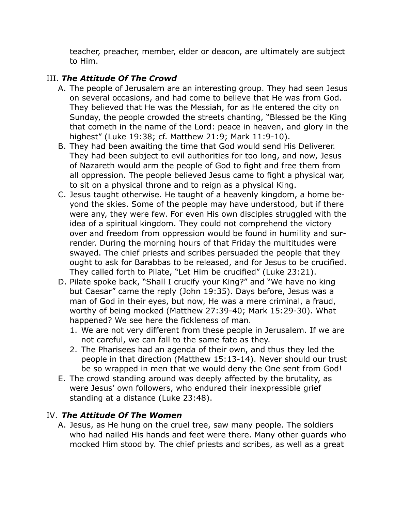teacher, preacher, member, elder or deacon, are ultimately are subject to Him.

## III. *The Attitude Of The Crowd*

- A. The people of Jerusalem are an interesting group. They had seen Jesus on several occasions, and had come to believe that He was from God. They believed that He was the Messiah, for as He entered the city on Sunday, the people crowded the streets chanting, "Blessed be the King that cometh in the name of the Lord: peace in heaven, and glory in the highest" (Luke 19:38; cf. Matthew 21:9; Mark 11:9-10).
- B. They had been awaiting the time that God would send His Deliverer. They had been subject to evil authorities for too long, and now, Jesus of Nazareth would arm the people of God to fight and free them from all oppression. The people believed Jesus came to fight a physical war, to sit on a physical throne and to reign as a physical King.
- C. Jesus taught otherwise. He taught of a heavenly kingdom, a home beyond the skies. Some of the people may have understood, but if there were any, they were few. For even His own disciples struggled with the idea of a spiritual kingdom. They could not comprehend the victory over and freedom from oppression would be found in humility and surrender. During the morning hours of that Friday the multitudes were swayed. The chief priests and scribes persuaded the people that they ought to ask for Barabbas to be released, and for Jesus to be crucified. They called forth to Pilate, "Let Him be crucified" (Luke 23:21).
- D. Pilate spoke back, "Shall I crucify your King?" and "We have no king but Caesar" came the reply (John 19:35). Days before, Jesus was a man of God in their eyes, but now, He was a mere criminal, a fraud, worthy of being mocked (Matthew 27:39-40; Mark 15:29-30). What happened? We see here the fickleness of man.
	- 1. We are not very different from these people in Jerusalem. If we are not careful, we can fall to the same fate as they.
	- 2. The Pharisees had an agenda of their own, and thus they led the people in that direction (Matthew 15:13-14). Never should our trust be so wrapped in men that we would deny the One sent from God!
- E. The crowd standing around was deeply affected by the brutality, as were Jesus' own followers, who endured their inexpressible grief standing at a distance (Luke 23:48).

### IV. *The Attitude Of The Women*

A. Jesus, as He hung on the cruel tree, saw many people. The soldiers who had nailed His hands and feet were there. Many other guards who mocked Him stood by. The chief priests and scribes, as well as a great